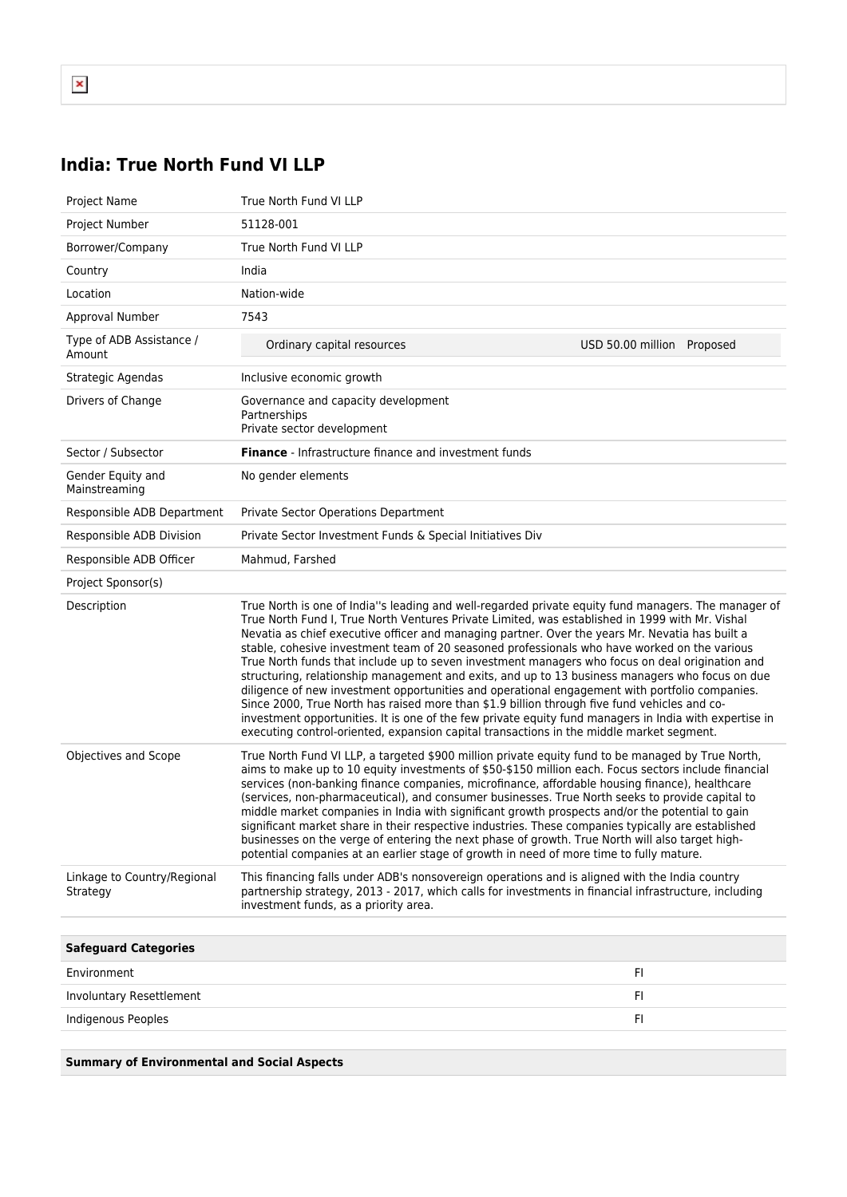## **India: True North Fund VI LLP**

| Project Name                            | True North Fund VI LLP                                                                                                                                                                                                                                                                                                                                                                                                                                                                                                                                                                                                                                                                                                                                                                                                                                                                                                                                                                                                  |                            |
|-----------------------------------------|-------------------------------------------------------------------------------------------------------------------------------------------------------------------------------------------------------------------------------------------------------------------------------------------------------------------------------------------------------------------------------------------------------------------------------------------------------------------------------------------------------------------------------------------------------------------------------------------------------------------------------------------------------------------------------------------------------------------------------------------------------------------------------------------------------------------------------------------------------------------------------------------------------------------------------------------------------------------------------------------------------------------------|----------------------------|
| Project Number                          | 51128-001                                                                                                                                                                                                                                                                                                                                                                                                                                                                                                                                                                                                                                                                                                                                                                                                                                                                                                                                                                                                               |                            |
| Borrower/Company                        | True North Fund VI LLP                                                                                                                                                                                                                                                                                                                                                                                                                                                                                                                                                                                                                                                                                                                                                                                                                                                                                                                                                                                                  |                            |
| Country                                 | India                                                                                                                                                                                                                                                                                                                                                                                                                                                                                                                                                                                                                                                                                                                                                                                                                                                                                                                                                                                                                   |                            |
| Location                                | Nation-wide                                                                                                                                                                                                                                                                                                                                                                                                                                                                                                                                                                                                                                                                                                                                                                                                                                                                                                                                                                                                             |                            |
| Approval Number                         | 7543                                                                                                                                                                                                                                                                                                                                                                                                                                                                                                                                                                                                                                                                                                                                                                                                                                                                                                                                                                                                                    |                            |
| Type of ADB Assistance /<br>Amount      | Ordinary capital resources                                                                                                                                                                                                                                                                                                                                                                                                                                                                                                                                                                                                                                                                                                                                                                                                                                                                                                                                                                                              | USD 50.00 million Proposed |
| Strategic Agendas                       | Inclusive economic growth                                                                                                                                                                                                                                                                                                                                                                                                                                                                                                                                                                                                                                                                                                                                                                                                                                                                                                                                                                                               |                            |
| Drivers of Change                       | Governance and capacity development<br>Partnerships<br>Private sector development                                                                                                                                                                                                                                                                                                                                                                                                                                                                                                                                                                                                                                                                                                                                                                                                                                                                                                                                       |                            |
| Sector / Subsector                      | <b>Finance</b> - Infrastructure finance and investment funds                                                                                                                                                                                                                                                                                                                                                                                                                                                                                                                                                                                                                                                                                                                                                                                                                                                                                                                                                            |                            |
| Gender Equity and<br>Mainstreaming      | No gender elements                                                                                                                                                                                                                                                                                                                                                                                                                                                                                                                                                                                                                                                                                                                                                                                                                                                                                                                                                                                                      |                            |
| Responsible ADB Department              | <b>Private Sector Operations Department</b>                                                                                                                                                                                                                                                                                                                                                                                                                                                                                                                                                                                                                                                                                                                                                                                                                                                                                                                                                                             |                            |
| Responsible ADB Division                | Private Sector Investment Funds & Special Initiatives Div                                                                                                                                                                                                                                                                                                                                                                                                                                                                                                                                                                                                                                                                                                                                                                                                                                                                                                                                                               |                            |
| Responsible ADB Officer                 | Mahmud, Farshed                                                                                                                                                                                                                                                                                                                                                                                                                                                                                                                                                                                                                                                                                                                                                                                                                                                                                                                                                                                                         |                            |
| Project Sponsor(s)                      |                                                                                                                                                                                                                                                                                                                                                                                                                                                                                                                                                                                                                                                                                                                                                                                                                                                                                                                                                                                                                         |                            |
| Description                             | True North is one of India"s leading and well-regarded private equity fund managers. The manager of<br>True North Fund I, True North Ventures Private Limited, was established in 1999 with Mr. Vishal<br>Nevatia as chief executive officer and managing partner. Over the years Mr. Nevatia has built a<br>stable, cohesive investment team of 20 seasoned professionals who have worked on the various<br>True North funds that include up to seven investment managers who focus on deal origination and<br>structuring, relationship management and exits, and up to 13 business managers who focus on due<br>diligence of new investment opportunities and operational engagement with portfolio companies.<br>Since 2000, True North has raised more than \$1.9 billion through five fund vehicles and co-<br>investment opportunities. It is one of the few private equity fund managers in India with expertise in<br>executing control-oriented, expansion capital transactions in the middle market segment. |                            |
| Objectives and Scope                    | True North Fund VI LLP, a targeted \$900 million private equity fund to be managed by True North,<br>aims to make up to 10 equity investments of \$50-\$150 million each. Focus sectors include financial<br>services (non-banking finance companies, microfinance, affordable housing finance), healthcare<br>(services, non-pharmaceutical), and consumer businesses. True North seeks to provide capital to<br>middle market companies in India with significant growth prospects and/or the potential to gain<br>significant market share in their respective industries. These companies typically are established<br>businesses on the verge of entering the next phase of growth. True North will also target high-<br>potential companies at an earlier stage of growth in need of more time to fully mature.                                                                                                                                                                                                   |                            |
| Linkage to Country/Regional<br>Strategy | This financing falls under ADB's nonsovereign operations and is aligned with the India country<br>partnership strategy, 2013 - 2017, which calls for investments in financial infrastructure, including<br>investment funds, as a priority area.                                                                                                                                                                                                                                                                                                                                                                                                                                                                                                                                                                                                                                                                                                                                                                        |                            |
|                                         |                                                                                                                                                                                                                                                                                                                                                                                                                                                                                                                                                                                                                                                                                                                                                                                                                                                                                                                                                                                                                         |                            |
| <b>Safeguard Categories</b>             |                                                                                                                                                                                                                                                                                                                                                                                                                                                                                                                                                                                                                                                                                                                                                                                                                                                                                                                                                                                                                         |                            |
| Environment                             |                                                                                                                                                                                                                                                                                                                                                                                                                                                                                                                                                                                                                                                                                                                                                                                                                                                                                                                                                                                                                         | FI.                        |
| Involuntary Resettlement                |                                                                                                                                                                                                                                                                                                                                                                                                                                                                                                                                                                                                                                                                                                                                                                                                                                                                                                                                                                                                                         | FI.                        |
| Indigenous Peoples                      |                                                                                                                                                                                                                                                                                                                                                                                                                                                                                                                                                                                                                                                                                                                                                                                                                                                                                                                                                                                                                         | FI                         |

**Summary of Environmental and Social Aspects**